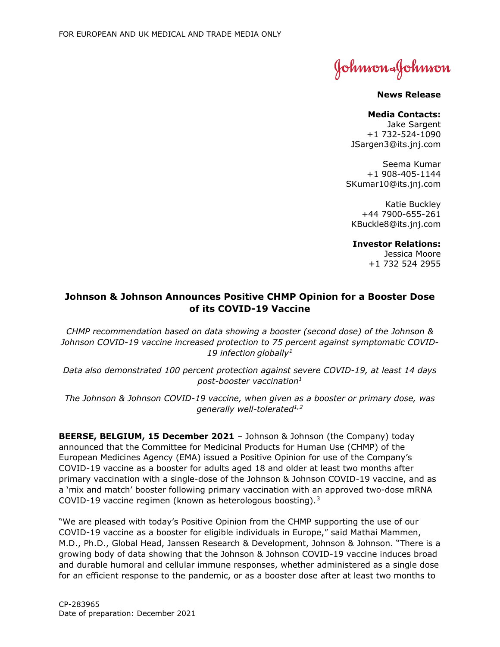Johnson&Johnson

### **News Release**

#### **Media Contacts:**

Jake Sargent +1 732-524-1090 JSargen3@its.jnj.com

Seema Kumar +1 908-405-1144 SKumar10@its.jnj.com

Katie Buckley +44 7900-655-261 KBuckle8@its.jnj.com

<span id="page-0-0"></span>**Investor Relations:**

Jessica Moore +1 732 524 2955

# **Johnson & Johnson Announces Positive CHMP Opinion for a Booster Dose of its COVID-19 Vaccine**

*CHMP recommendation based on data showing a booster (second dose) of the Johnson & Johnson COVID-19 vaccine increased protection to 75 percent against symptomatic COVID-19 infection globally[1](#page-3-0)*

*Data also demonstrated 100 percent protection against severe COVID-19, at least 14 days post-booster vaccinatio[n1](#page-0-0)*

*The Johnson & Johnson COVID-19 vaccine, when given as a booster or primary dose, was generally well-tolerate[d1,](#page-0-0)[2](#page-3-1)*

**BEERSE, BELGIUM, 15 December 2021** *–* Johnson & Johnson (the Company) today announced that the Committee for Medicinal Products for Human Use (CHMP) of the European Medicines Agency (EMA) issued a Positive Opinion for use of the Company's COVID-19 vaccine as a booster for adults aged 18 and older at least two months after primary vaccination with a single-dose of the Johnson & Johnson COVID-19 vaccine, and as a 'mix and match' booster following primary vaccination with an approved two-dose mRNA COVID-19 vaccine regimen (known as heterologous boosting).[3](#page-3-2)

"We are pleased with today's Positive Opinion from the CHMP supporting the use of our COVID-19 vaccine as a booster for eligible individuals in Europe," said Mathai Mammen, M.D., Ph.D., Global Head, Janssen Research & Development, Johnson & Johnson. "There is a growing body of data showing that the Johnson & Johnson COVID-19 vaccine induces broad and durable humoral and cellular immune responses, whether administered as a single dose for an efficient response to the pandemic, or as a booster dose after at least two months to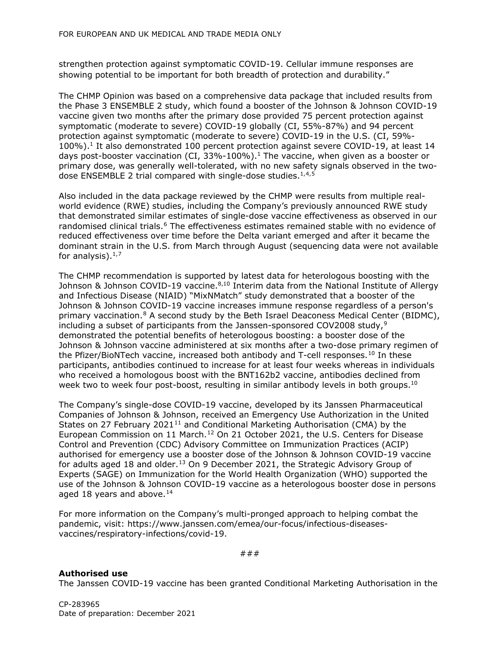strengthen protection against symptomatic COVID-19. Cellular immune responses are showing potential to be important for both breadth of protection and durability."

The CHMP Opinion was based on a comprehensive data package that included results from the Phase 3 ENSEMBLE 2 study, which found a booster of the Johnson & Johnson COVID-19 vaccine given two months after the primary dose provided 75 percent protection against symptomatic (moderate to severe) COVID-19 globally (CI, 55%-87%) and 94 percent protection against symptomatic (moderate to severe) COVID-19 in the U.S. (CI, 59%- 100%)[.1](#page-0-0) It also demonstrated 100 percent protection against severe COVID-19, at least 14 days post-booster vaccination (CI,  $33\% - 100\%$ ).<sup>1</sup> The vaccine, when given as a booster or primary dose, was generally well-tolerated, with no new safety signals observed in the twodose ENSEMBLE 2 trial compared with single-dose studies. $1,4,5$  $1,4,5$  $1,4,5$ 

Also included in the data package reviewed by the CHMP were results from multiple realworld evidence (RWE) studies, including the Company's previously announced RWE study that demonstrated similar estimates of single-dose vaccine effectiveness as observed in our randomised clinical trials.<sup>[6](#page-3-5)</sup> The effectiveness estimates remained stable with no evidence of reduced effectiveness over time before the Delta variant emerged and after it became the dominant strain in the U.S. from March through August (sequencing data were not available for analysis). $1,7$  $1,7$ 

<span id="page-1-0"></span>The CHMP recommendation is supported by latest data for heterologous boosting with the Johnson & Johnson COVID-19 vaccine.<sup>8[,10](#page-1-1)</sup> Interim data from the National Institute of Allergy and Infectious Disease (NIAID) "MixNMatch" study demonstrated that a booster of the Johnson & Johnson COVID-19 vaccine increases immune response regardless of a person's primary vaccination.[8](#page-3-7) A second study by the Beth Israel Deaconess Medical Center (BIDMC), including a subset of participants from the Janssen-sponsored COV2008 study, $9$ demonstrated the potential benefits of heterologous boosting: a booster dose of the Johnson & Johnson vaccine administered at six months after a two-dose primary regimen of the Pfizer/BioNTech vaccine, increased both antibody and T-cell responses.<sup>[10](#page-3-9)</sup> In these participants, antibodies continued to increase for at least four weeks whereas in individuals who received a homologous boost with the BNT162b2 vaccine, antibodies declined from week two to week four post-boost, resulting in similar antibody levels in both groups.<sup>10</sup>

The Company's single-dose COVID-19 vaccine, developed by its Janssen Pharmaceutical Companies of Johnson & Johnson, received an Emergency Use Authorization in the United States on 27 February 2021 $11$  and Conditional Marketing Authorisation (CMA) by the European Commission on 11 March.<sup>[12](#page-3-11)</sup> On 21 October 2021, the U.S. Centers for Disease Control and Prevention (CDC) Advisory Committee on Immunization Practices (ACIP) authorised for emergency use a booster dose of the Johnson & Johnson COVID-19 vaccine for adults aged 18 and older.<sup>[13](#page-3-12)</sup> On 9 December 2021, the Strategic Advisory Group of Experts (SAGE) on Immunization for the World Health Organization (WHO) supported the use of the Johnson & Johnson COVID-19 vaccine as a heterologous booster dose in persons aged 18 years and above. $14$ 

For more information on the Company's multi-pronged approach to helping combat the pandemic, visit: https://www.janssen.com/emea/our-focus/infectious-diseasesvaccines/respiratory-infections/covid-19.

<span id="page-1-1"></span>###

# **Authorised use**

The Janssen COVID-19 vaccine has been granted Conditional Marketing Authorisation in the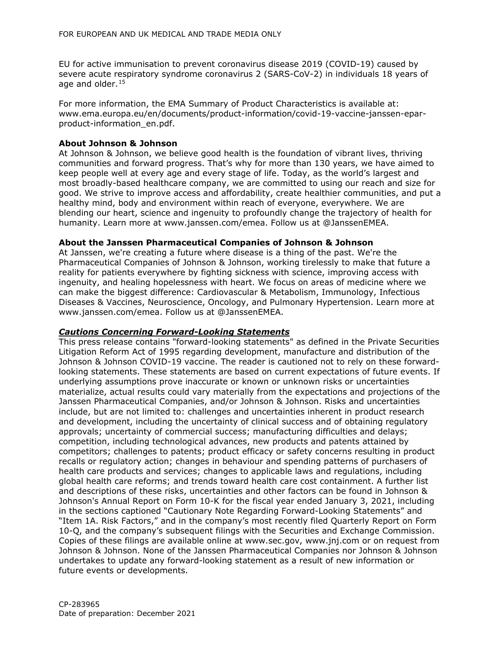EU for active immunisation to prevent coronavirus disease 2019 (COVID-19) caused by severe acute respiratory syndrome coronavirus 2 (SARS-CoV-2) in individuals 18 years of age and older.<sup>[15](#page-3-14)</sup>

For more information, the EMA Summary of Product Characteristics is available at: www.ema.europa.eu/en/documents/product-information/covid-19-vaccine-janssen-eparproduct-information\_en.pdf.

## **About Johnson & Johnson**

At Johnson & Johnson, we believe good health is the foundation of vibrant lives, thriving communities and forward progress. That's why for more than 130 years, we have aimed to keep people well at every age and every stage of life. Today, as the world's largest and most broadly-based healthcare company, we are committed to using our reach and size for good. We strive to improve access and affordability, create healthier communities, and put a healthy mind, body and environment within reach of everyone, everywhere. We are blending our heart, science and ingenuity to profoundly change the trajectory of health for humanity. Learn more at www.janssen.com/emea. Follow us at @JanssenEMEA.

### **About the Janssen Pharmaceutical Companies of Johnson & Johnson**

At Janssen, we're creating a future where disease is a thing of the past. We're the Pharmaceutical Companies of Johnson & Johnson, working tirelessly to make that future a reality for patients everywhere by fighting sickness with science, improving access with ingenuity, and healing hopelessness with heart. We focus on areas of medicine where we can make the biggest difference: Cardiovascular & Metabolism, Immunology, Infectious Diseases & Vaccines, Neuroscience, Oncology, and Pulmonary Hypertension. Learn more at www.janssen.com/emea. Follow us at @JanssenEMEA.

## *Cautions Concerning Forward-Looking Statements*

This press release contains "forward-looking statements" as defined in the Private Securities Litigation Reform Act of 1995 regarding development, manufacture and distribution of the Johnson & Johnson COVID-19 vaccine. The reader is cautioned not to rely on these forwardlooking statements. These statements are based on current expectations of future events. If underlying assumptions prove inaccurate or known or unknown risks or uncertainties materialize, actual results could vary materially from the expectations and projections of the Janssen Pharmaceutical Companies, and/or Johnson & Johnson. Risks and uncertainties include, but are not limited to: challenges and uncertainties inherent in product research and development, including the uncertainty of clinical success and of obtaining regulatory approvals; uncertainty of commercial success; manufacturing difficulties and delays; competition, including technological advances, new products and patents attained by competitors; challenges to patents; product efficacy or safety concerns resulting in product recalls or regulatory action; changes in behaviour and spending patterns of purchasers of health care products and services; changes to applicable laws and regulations, including global health care reforms; and trends toward health care cost containment. A further list and descriptions of these risks, uncertainties and other factors can be found in Johnson & Johnson's Annual Report on Form 10-K for the fiscal year ended January 3, 2021, including in the sections captioned "Cautionary Note Regarding Forward-Looking Statements" and "Item 1A. Risk Factors," and in the company's most recently filed Quarterly Report on Form 10-Q, and the company's subsequent filings with the Securities and Exchange Commission. Copies of these filings are available online at www.sec.gov, www.jnj.com or on request from Johnson & Johnson. None of the Janssen Pharmaceutical Companies nor Johnson & Johnson undertakes to update any forward-looking statement as a result of new information or future events or developments.